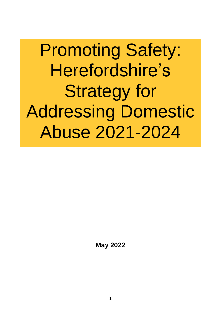Promoting Safety: Herefordshire's Strategy for Addressing Domestic Abuse 2021-2024

**May 2022**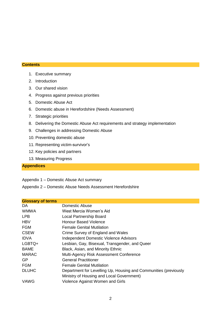#### **Contents**

- 1. Executive summary
- 2. Introduction
- 3. Our shared vision
- 4. Progress against previous priorities
- 5. Domestic Abuse Act
- 6. Domestic abuse in Herefordshire (Needs Assessment)
- 7. Strategic priorities
- 8. Delivering the Domestic Abuse Act requirements and strategy implementation
- 9. Challenges in addressing Domestic Abuse
- 10. Preventing domestic abuse
- 11. Representing victim-survivor's
- 12. Key policies and partners
- 13. Measuring Progress

### **Appendices**

- Appendix 1 Domestic Abuse Act summary
- Appendix 2 Domestic Abuse Needs Assessment Herefordshire

#### **Glossary of terms**

| DA.          | Domestic Abuse                                                   |
|--------------|------------------------------------------------------------------|
| <b>WMWA</b>  | West Mercia Women's Aid                                          |
| LPB          | Local Partnership Board                                          |
| <b>HBV</b>   | <b>Honour Based Violence</b>                                     |
| <b>FGM</b>   | <b>Female Genital Mutilation</b>                                 |
| <b>CSEW</b>  | Crime Survey of England and Wales                                |
| <b>IDVA</b>  | <b>Independent Domestic Violence Advisors</b>                    |
| LGBTQ+       | Lesbian, Gay, Bisexual, Transgender, and Queer                   |
| <b>BAME</b>  | Black, Asian, and Minority Ethnic                                |
| <b>MARAC</b> | Multi-Agency Risk Assessment Conference                          |
| GP           | <b>General Practitioner</b>                                      |
| <b>FGM</b>   | <b>Female Genital Mutilation</b>                                 |
| <b>DLUHC</b> | Department for Levelling Up, Housing and Communities (previously |
|              | Ministry of Housing and Local Government)                        |
| VAWG         | Violence Against Women and Girls                                 |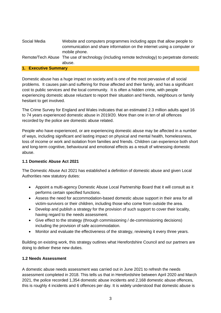| Social Media         | Website and computers programmes including apps that allow people to<br>communication and share information on the internet using a computer or<br>mobile phone. |
|----------------------|------------------------------------------------------------------------------------------------------------------------------------------------------------------|
|                      | Remote/Tech Abuse The use of technology (including remote technology) to perpetrate domestic                                                                     |
|                      | abuse.                                                                                                                                                           |
| 1. Executive Summary |                                                                                                                                                                  |

Domestic abuse has a huge impact on society and is one of the most pervasive of all social problems. It causes pain and suffering for those affected and their family, and has a significant cost to public services and the local community. It is often a hidden crime, with people experiencing domestic abuse reluctant to report their situation and friends, neighbours or family hesitant to get involved.

The Crime Survey for England and Wales indicates that an estimated 2.3 million adults aged 16 to 74 years experienced domestic abuse in 2019/20. More than one in ten of all offences recorded by the police are domestic abuse related.

People who have experienced, or are experiencing domestic abuse may be affected in a number of ways, including significant and lasting impact on physical and mental health, homelessness, loss of income or work and isolation from families and friends. Children can experience both short and long-term cognitive, behavioural and emotional effects as a result of witnessing domestic abuse.

# **1.1 Domestic Abuse Act 2021**

The Domestic Abuse Act 2021 has established a definition of domestic abuse and given Local Authorities new statutory duties:

- Appoint a multi-agency Domestic Abuse Local Partnership Board that it will consult as it performs certain specified functions.
- Assess the need for accommodation-based domestic abuse support in their area for all victim-survivors or their children, including those who come from outside the area.
- Develop and publish a strategy for the provision of such support to cover their locality, having regard to the needs assessment.
- Give effect to the strategy (through commissioning / de-commissioning decisions) including the provision of safe accommodation.
- Monitor and evaluate the effectiveness of the strategy, reviewing it every three years.

Building on existing work, this strategy outlines what Herefordshire Council and our partners are doing to deliver these new duties.

# **1.2 Needs Assessment**

A domestic abuse needs assessment was carried out in June 2021 to refresh the needs assessment completed in 2018. This tells us that in Herefordshire between April 2020 and March 2021, the police recorded 1,354 domestic abuse incidents and 2,168 domestic abuse offences, this is roughly 4 incidents and 6 offences per day. It is widely understood that domestic abuse is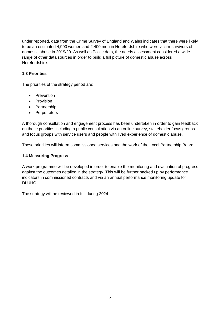under reported, data from the Crime Survey of England and Wales indicates that there were likely to be an estimated 4,900 women and 2,400 men in Herefordshire who were victim-survivors of domestic abuse in 2019/20. As well as Police data, the needs assessment considered a wide range of other data sources in order to build a full picture of domestic abuse across Herefordshire.

# **1.3 Priorities**

The priorities of the strategy period are:

- Prevention
- Provision
- Partnership
- Perpetrators

A thorough consultation and engagement process has been undertaken in order to gain feedback on these priorities including a public consultation via an online survey, stakeholder focus groups and focus groups with service users and people with lived experience of domestic abuse.

These priorities will inform commissioned services and the work of the Local Partnership Board.

## **1.4 Measuring Progress**

A work programme will be developed in order to enable the monitoring and evaluation of progress against the outcomes detailed in the strategy. This will be further backed up by performance indicators in commissioned contracts and via an annual performance monitoring update for DLUHC.

The strategy will be reviewed in full during 2024.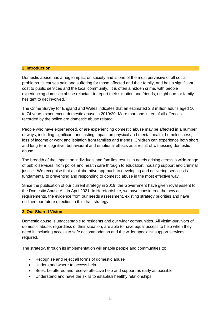### **2. Introduction**

Domestic abuse has a huge impact on society and is one of the most pervasive of all social problems. It causes pain and suffering for those affected and their family, and has a significant cost to public services and the local community. It is often a hidden crime, with people experiencing domestic abuse reluctant to report their situation and friends, neighbours or family hesitant to get involved.

The Crime Survey for England and Wales indicates that an estimated 2.3 million adults aged 16 to 74 years experienced domestic abuse in 2019/20. More than one in ten of all offences recorded by the police are domestic abuse related.

People who have experienced, or are experiencing domestic abuse may be affected in a number of ways, including significant and lasting impact on physical and mental health, homelessness, loss of income or work and isolation from families and friends. Children can experience both short and long-term cognitive, behavioural and emotional effects as a result of witnessing domestic abuse.

The breadth of the impact on individuals and families results in needs arising across a wide-range of public services, from police and health care through to education, housing support and criminal justice. We recognise that a collaborative approach to developing and delivering services is fundamental to preventing and responding to domestic abuse in the most effective way.

Since the publication of our current strategy in 2019, the Government have given royal assent to the Domestic Abuse Act in April 2021. In Herefordshire, we have considered the new act requirements, the evidence from our needs assessment, existing strategy priorities and have outlined our future direction in this draft strategy.

#### **3. Our Shared Vision**

Domestic abuse is unacceptable to residents and our wider communities. All victim-survivors of domestic abuse, regardless of their situation, are able to have equal access to help when they need it, including access to safe accommodation and the wider specialist support services required.

The strategy, through its implementation will enable people and communities to;

- Recognise and reject all forms of domestic abuse
- Understand where to access help
- Seek, be offered and receive effective help and support as early as possible
- Understand and have the skills to establish healthy relationships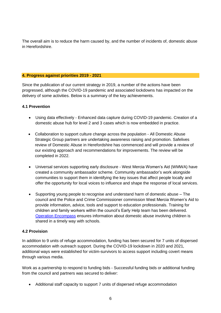The overall aim is to reduce the harm caused by, and the number of incidents of, domestic abuse in Herefordshire.

### **4. Progress against priorities 2019 - 2021**

Since the publication of our current strategy in 2019, a number of the actions have been progressed, although the COVID-19 pandemic and associated lockdowns has impacted on the delivery of some activities. Below is a summary of the key achievements.

### **4.1 Prevention**

- Using data effectively Enhanced data capture during COVID-19 pandemic. Creation of a domestic abuse hub for level 2 and 3 cases which is now embedded in practice.
- Collaboration to support culture change across the population All Domestic Abuse Strategic Group partners are undertaking awareness raising and promotion. Safelives review of Domestic Abuse in Herefordshire has commenced and will provide a review of our existing approach and recommendations for improvements. The review will be completed in 2022.
- Universal services supporting early disclosure West Mercia Women's Aid (WMWA) have created a community ambassador scheme. Community ambassador's work alongside communities to support them in identifying the key issues that affect people locally and offer the opportunity for local voices to influence and shape the response of local services.
- Supporting young people to recognise and understand harm of domestic abuse The council and the Police and Crime Commissioner commission West Mercia Women's Aid to provide information, advice, tools and support to education professionals. Training for children and family workers within the council's Early Help team has been delivered. [Operation Encompass](https://www.operationencompass.org/) ensures information about domestic abuse involving children is shared in a timely way with schools.

# **4.2 Provision**

In addition to 9 units of refuge accommodation, funding has been secured for 7 units of dispersed accommodation with outreach support. During the COVID-19 lockdown in 2020 and 2021, additional ways were established for victim-survivors to access support including covert means through various media.

Work as a partnership to respond to funding bids - Successful funding bids or additional funding from the council and partners was secured to deliver:

Additional staff capacity to support 7 units of dispersed refuge accommodation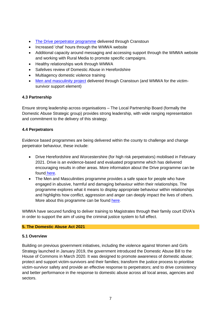- [The Drive perpetrator programme](https://www.westmercia-pcc.gov.uk/campaigns/drive-programme/#:~:text=The%20Drive%20Project%20is%20a,1%2D2%2D1%20basis.) delivered through Cranstoun
- Increased 'chat' hours through the WMWA website
- Additional capacity around messaging and accessing support through the WMWA website and working with Rural Media to promote specific campaigns.
- Healthy relationships work through WMWA
- Safelives review of Domestic Abuse in Herefordshire
- Multiagency domestic violence training
- Men [and masculinity project](https://cranstoun.org/help-and-advice/domestic-abuse/men-and-masculinities/) delivered through Cranstoun (and WMWA for the victimsurvivor support element)

# **4.3 Partnership**

Ensure strong leadership across organisations – The Local Partnership Board (formally the Domestic Abuse Strategic group) provides strong leadership, with wide ranging representation and commitment to the delivery of this strategy.

# **4.4 Perpetrators**

Evidence based programmes are being delivered within the county to challenge and change perpetrator behaviour, these include:

- Drive Herefordshire and Worcestershire (for high risk perpetrators) mobilised in February 2021. Drive is an evidence-based and evaluated programme which has delivered encouraging results in other areas. More information about the Drive programme can be found [here.](https://www.westmercia-pcc.gov.uk/campaigns/drive-programme/#:~:text=The%20Drive%20Project%20is%20a,1%2D2%2D1%20basis.)
- The Men and Masculinities programme provides a safe space for people who have engaged in abusive, harmful and damaging behaviour within their relationships. The programme explores what it means to display appropriate behaviour within relationships and highlights how conflict, aggression and anger can deeply impact the lives of others. More about this programme can be found [here.](https://cranstoun.org/help-and-advice/domestic-abuse/men-and-masculinities/)

WMWA have secured funding to deliver training to Magistrates through their family court IDVA's in order to support the aim of using the criminal justice system to full effect.

# **5. The Domestic Abuse Act 2021**

# **5.1 Overview**

Building on previous government initiatives, including the violence against Women and Girls Strategy launched in January 2019, the government introduced the Domestic Abuse Bill to the House of Commons in March 2020. It was designed to promote awareness of domestic abuse; protect and support victim-survivors and their families; transform the justice process to prioritise victim-survivor safety and provide an effective response to perpetrators; and to drive consistency and better performance in the response to domestic abuse across all local areas, agencies and sectors.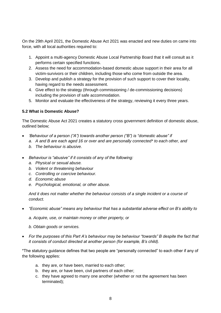On the 29th April 2021, the Domestic Abuse Act 2021 was enacted and new duties on came into force, with all local authorities required to:

- 1. Appoint a multi-agency Domestic Abuse Local Partnership Board that it will consult as it performs certain specified functions.
- 2. Assess the need for accommodation-based domestic abuse support in their area for all victim-survivors or their children, including those who come from outside the area.
- 3. Develop and publish a strategy for the provision of such support to cover their locality, having regard to the needs assessment.
- 4. Give effect to the strategy (through commissioning / de-commissioning decisions) including the provision of safe accommodation.
- 5. Monitor and evaluate the effectiveness of the strategy, reviewing it every three years.

### **5.2 What is Domestic Abuse?**

The Domestic Abuse Act 2021 creates a statutory cross government definition of domestic abuse, outlined below;

- *'Behaviour of a person ("A") towards another person ("B") is "domestic abuse" if* 
	- *a. A and B are each aged 16 or over and are personally connected\* to each other, and*
	- *b. The behaviour is abusive.*
- *Behaviour is "abusive" if it consists of any of the following:*
	- *a. Physical or sexual abuse.*
	- *b. Violent or threatening behaviour*
	- *c. Controlling or coercive behaviour.*
	- *d. Economic abuse*
	- *e. Psychological, emotional, or other abuse.*

*And it does not matter whether the behaviour consists of a single incident or a course of conduct.*

*"Economic abuse" means any behaviour that has a substantial adverse effect on B's ability to* 

*a. Acquire, use, or maintain money or other property, or* 

- *b. Obtain goods or services.*
- *For the purposes of this Part A's behaviour may be behaviour "towards" B despite the fact that it consists of conduct directed at another person (for example, B's child).*

\*The statutory guidance defines that two people are "personally connected" to each other if any of the following applies:

- a. they are, or have been, married to each other;
- b. they are, or have been, civil partners of each other;
- c. they have agreed to marry one another (whether or not the agreement has been terminated);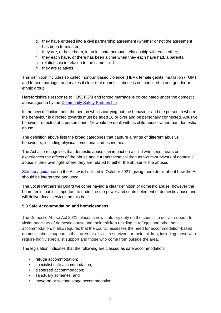- d. they have entered into a civil partnership agreement (whether or not the agreement has been terminated);
- e. they are, or have been, in an intimate personal relationship with each other;
- f. they each have, or there has been a time when they each have had, a parental
- g. relationship in relation to the same child
- *h.* they are relatives

This definition includes so called 'honour' based violence (HBV), female genital mutilation (FGM) and forced marriage, and makes it clear that domestic abuse is not confined to one gender or ethnic group.

Herefordshire's response to HBV, FGM and forced marriage is co-ordinated under the domestic abuse agenda by the [Community Safety Partnership.](https://herefordshiresafeguardingboards.org.uk/herefordshire-community-safety-partnership/)

In the new definition, both the person who is carrying out the behaviour and the person to whom the behaviour is directed towards must be aged 16 or over and be personally connected. Abusive behaviour directed at a person under 16 would be dealt with as child abuse rather than domestic abuse.

The definition above lists the broad categories that capture a range of different abusive behaviours, including physical, emotional and economic.

The Act also recognises that domestic abuse can impact on a child who sees, hears or experiences the effects of the abuse and it treats these children as victim-survivors of domestic abuse in their own right where they are related to either the abuser or the abused.

[Statutory guidance](https://www.gov.uk/government/consultations/domestic-abuse-act-statutory-guidance/domestic-abuse-draft-statutory-guidance-framework) on the Act was finalised in October 2021, giving more detail about how the Act should be interpreted and used.

The Local Partnership Board welcome having a clear definition of domestic abuse, however the board feels that it is important to underline the power and control element of domestic abuse and will deliver local services on this basis.

### **5.3 Safe Accommodation and homelessness**

The Domestic Abuse Act 2021, places a new statutory duty on the council to deliver support to victim-survivors of domestic abuse and their children residing in refuges and other safe accommodation. It also requires that the council assesses the need for accommodation-based domestic abuse support in their area for all victim-survivors or their children, including those who require highly specialist support and those who come from outside the area.

The legislation indicates that the following are classed as safe accommodation:

- refuge accommodation:
- specialist safe accommodation;
- dispersed accommodation;
- sanctuary schemes; and
- move-on or second stage accommodation.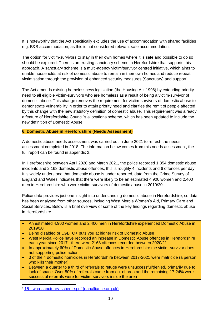It is noteworthy that the Act specifically excludes the use of accommodation with shared facilities e.g. B&B accommodation, as this is not considered relevant safe accommodation.

The option for victim-survivors to stay in their own homes where it is safe and possible to do so should be explored. There is an existing sanctuary scheme in Herefordshire that supports this approach. A sanctuary scheme is a multi-agency victim/survivor centred initiative, which aims to enable households at risk of domestic abuse to remain in their own homes and reduce repeat victimisation through the provision of enhanced security measures (Sanctuary) and support<sup>1</sup>.

The Act amends existing homelessness legislation (the Housing Act 1996) by extending priority need to all eligible victim-survivors who are homeless as a result of being a victim-survivor of domestic abuse. This change removes the requirement for victim-survivors of domestic abuse to demonstrate vulnerability in order to attain priority need and clarifies the remit of people affected by this change with the new statutory definition of domestic abuse. This requirement was already a feature of Herefordshire Council's allocations scheme, which has been updated to include the new definition of Domestic Abuse.

### **6. Domestic Abuse in Herefordshire (Needs Assessment)**

A domestic abuse needs assessment was carried out in June 2021 to refresh the needs assessment completed in 2018. The information below comes from this needs assessment, the full report can be found in appendix 2.

In Herefordshire between April 2020 and March 2021, the police recorded 1,354 domestic abuse incidents and 2,168 domestic abuse offences, this is roughly 4 incidents and 6 offences per day. It is widely understood that domestic abuse is under reported, data from the Crime Survey of England and Wales indicates that there were likely to be an estimated 4,900 women and 2,400 men in Herefordshire who were victim-survivors of domestic abuse in 2019/20.

Police data provides just one insight into understanding domestic abuse in Herefordshire, so data has been analysed from other sources, including West Mercia Women's Aid, Primary Care and Social Services. Below is a brief overview of some of the key findings regarding domestic abuse in Herefordshire.

- An estimated 4,900 women and 2,400 men in Herefordshire experienced Domestic Abuse in 2019/20
- Being disabled or LGBTQ+ puts you at higher risk of Domestic Abuse
- West Mercia Police have recorded an increase in Domestic Abuse offences in Herefordshire each year since 2017 - there were 2168 offences recorded between 2020/21
- In approximately 60% of Domestic Abuse offences in Herefordshire the victim-survivor does not supporting police action
- 3 of the 4 domestic homicides in Herefordshire between 2017-2021 were matricide (a person who kills their mother)
- Between a quarter to a third of referrals to refuge were unsuccessful/denied, primarily due to lack of space. Over 50% of referrals came from out of area and the remaining 17-24% were successful referrals were for victim-survivors inside the area

 $\overline{a}$ 

<sup>1</sup> [15\\_-wha-sanctuary-scheme.pdf \(dahalliance.org.uk\)](https://www.dahalliance.org.uk/media/10661/15_-wha-sanctuary-scheme.pdf)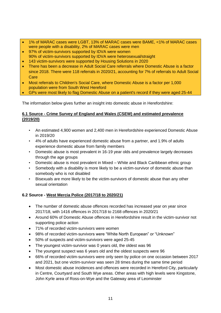- 1% of MARAC cases were LGBT, 13% of MARAC cases were BAME, <1% of MARAC cases were people with a disability, 2% of MARAC cases were men
- 97% of victim-survivors supported by IDVA were women 90% of victim-survivors supported by IDVA were heterosexual/straight
- 143 victim-survivors were supported by Housing Solutions in 2020
- There has been a decrease in Adult Social Care referrals where Domestic Abuse is a factor since 2018. There were 118 referrals in 2020/21, accounting for 7% of referrals to Adult Social **Care**
- Most referrals to Children's Social Care, where Domestic Abuse is a factor per 1,000 population were from South West Hereford
- GPs were most likely to flag Domestic Abuse on a patient's record if they were aged 25-44

The information below gives further an insight into domestic abuse in Herefordshire:

# **6.1 Source - Crime Survey of England and Wales (CSEW) and estimated prevalence (2019/20)**

- An estimated 4,900 women and 2,400 men in Herefordshire experienced Domestic Abuse in 2019/20
- 4% of adults have experienced domestic abuse from a partner, and 1.9% of adults experience domestic abuse from family members
- Domestic abuse is most prevalent in 16-19 year olds and prevalence largely decreases through the age groups
- Domestic abuse is most prevalent in Mixed White and Black Caribbean ethnic group
- Somebody with a disability is more likely to be a victim-survivor of domestic abuse than somebody who is not disabled
- Bisexuals are more likely to be the victim-survivors of domestic abuse than any other sexual orientation

# **6.2 Source - West Mercia Police (2017/18 to 2020/21)**

- The number of domestic abuse offences recorded has increased year on year since 2017/18, with 1416 offences in 2017/18 to 2168 offences in 2020/21
- Around 60% of Domestic Abuse offences in Herefordshire result in the victim-survivor not supporting police action
- 71% of recorded victim-survivors were women
- 98% of recorded victim-survivors were "White North European" or "Unknown"
- 50% of suspects and victim-survivors were aged 25-45
- The youngest victim-survivor was 0 years old, the oldest was 96
- The youngest suspect was 6 years old and the oldest suspects were 96
- 66% of recorded victim-survivors were only seen by police on one occasion between 2017 and 2021, but one victim-survivor was seen 28 times during the same time period
- Most domestic abuse incidences and offences were recorded in Hereford City, particularly in Centre, Courtyard and South Wye areas. Other areas with high levels were Kingstone, John Kyrle area of Ross-on-Wye and the Gateway area of Leominster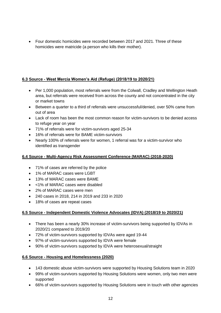Four domestic homicides were recorded between 2017 and 2021. Three of these homicides were matricide (a person who kills their mother).

# **6.3 Source - West Mercia Women's Aid (Refuge) (2018/19 to 2020/21)**

- Per 1,000 population, most referrals were from the Colwall, Cradley and Wellington Heath area, but referrals were received from across the county and not concentrated in the city or market towns
- Between a quarter to a third of referrals were unsuccessful/denied, over 50% came from out of area
- Lack of room has been the most common reason for victim-survivors to be denied access to refuge year on year
- 71% of referrals were for victim-survivors aged 25-34
- 16% of referrals were for BAME victim-survivors
- Nearly 100% of referrals were for women, 1 referral was for a victim-survivor who identified as transgender

# **6.4 Source - Multi-Agency Risk Assessment Conference (MARAC) (2018-2020)**

- 71% of cases are referred by the police
- 1% of MARAC cases were LGBT
- 13% of MARAC cases were BAME
- <1% of MARAC cases were disabled
- 2% of MARAC cases were men
- 240 cases in 2018, 214 in 2019 and 233 in 2020
- 18% of cases are repeat cases

# **6.5 Source - Independent Domestic Violence Advocates (IDVA) (2018/19 to 2020/21)**

- There has been a nearly 30% increase of victim-survivors being supported by IDVAs in 2020/21 compared to 2019/20
- 72% of victim-survivors supported by IDVAs were aged 19-44
- 97% of victim-survivors supported by IDVA were female
- 90% of victim-survivors supported by IDVA were heterosexual/straight

# **6.6 Source - Housing and Homelessness (2020)**

- 143 domestic abuse victim-survivors were supported by Housing Solutions team in 2020
- 99% of victim-survivors supported by Housing Solutions were women, only two men were supported
- 66% of victim-survivors supported by Housing Solutions were in touch with other agencies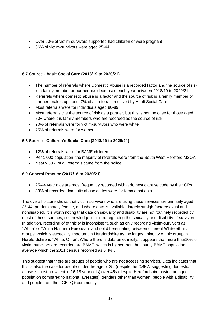- Over 60% of victim-survivors supported had children or were pregnant
- 66% of victim-survivors were aged 25-44

# **6.7 Source - Adult Social Care (2018/19 to 2020/21)**

- The number of referrals where Domestic Abuse is a recorded factor and the source of risk is a family member or partner has decreased each year between 2018/19 to 2020/21
- Referrals where domestic abuse is a factor and the source of risk is a family member of partner, makes up about 7% of all referrals received by Adult Social Care
- Most referrals were for individuals aged 80-89
- Most referrals cite the source of risk as a partner, but this is not the case for those aged 80+ where it is family members who are recorded as the source of risk
- 90% of referrals were for victim-survivors who were white
- 75% of referrals were for women

# **6.8 Source - Children's Social Care (2018/19 to 2020/21)**

- 12% of referrals were for BAME children
- Per 1,000 population, the majority of referrals were from the South West Hereford MSOA
- Nearly 50% of all referrals came from the police

# **6.9 General Practice (2017/18 to 2020/21)**

- 25-44 year olds are most frequently recorded with a domestic abuse code by their GPs
- 89% of recorded domestic abuse codes were for female patients

The overall picture shows that victim-survivors who are using these services are primarily aged 25-44, predominately female, and where data is available, largely straight/heterosexual and nondisabled. It is worth noting that data on sexuality and disability are not routinely recorded by most of these sources, so knowledge is limited regarding the sexuality and disability of survivors. In addition, recording of ethnicity is inconsistent, such as only recording victim-survivors as "White" or "White Northern European" and not differentiating between different White ethnic groups, which is especially important in Herefordshire as the largest minority ethnic group in Herefordshire is "White: Other". Where there is data on ethnicity, it appears that more than10% of victim-survivors are recorded are BAME, which is higher than the county BAME population average which the 2011 census recorded as 6.4% .

This suggest that there are groups of people who are not accessing services. Data indicates that this is also the case for people under the age of 25, (despite the CSEW suggesting domestic abuse is most prevalent in 16-19 year olds).over 45s (despite Herefordshire having an aged population compared to national averages); genders other than women; people with a disability and people from the LGBTQ+ community.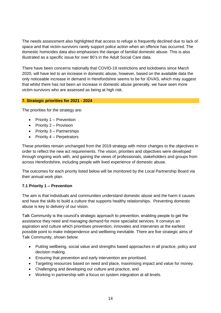The needs assessment also highlighted that access to refuge is frequently declined due to lack of space and that victim-survivors rarely support police action when an offence has occurred. The domestic homicides data also emphasises the danger of familial domestic abuse. This is also illustrated as a specific issue for over 80's in the Adult Social Care data.

There have been concerns nationally that COVID-19 restrictions and lockdowns since March 2020, will have led to an increase in domestic abuse, however, based on the available data the only noticeable increase in demand in Herefordshire seems to be for IDVAS, which may suggest that whilst there has not been an increase in domestic abuse generally, we have seen more victim-survivors who are assessed as being at high risk.

### **7. Strategic priorities for 2021 - 2024**

The priorities for the strategy are:

- $\bullet$  Priority 1 Prevention
- $\bullet$  Priority 2 Provision
- $\bullet$  Priority 3 Partnerships
- $\bullet$  Priority 4 Perpetrators

These priorities remain unchanged from the 2019 strategy with minor changes to the objectives in order to reflect the new act requirements. The vision, priorities and objectives were developed through ongoing work with, and gaining the views of professionals, stakeholders and groups from across Herefordshire, including people with lived experience of domestic abuse.

The outcomes for each priority listed below will be monitored by the Local Partnership Board via their annual work plan.

### **7.1 Priority 1 – Prevention**

The aim is that individuals and communities understand domestic abuse and the harm it causes and have the skills to build a culture that supports healthy relationships. Preventing domestic abuse is key to delivery of our vision.

Talk Community is the council's strategic approach to prevention, enabling people to get the assistance they need and managing demand for more specialist services. It conveys an aspiration and culture which prioritises prevention, innovates and intervenes at the earliest possible point to make independence and wellbeing inevitable. There are five strategic aims of Talk Community, shown below:

- Putting wellbeing, social value and strengths based approaches in all practice, policy and decision making.
- Ensuring that prevention and early intervention are prioritised.
- Targeting resources based on need and place, maximising impact and value for money.
- Challenging and developing our culture and practice, and
- Working in partnership with a focus on system integration at all levels.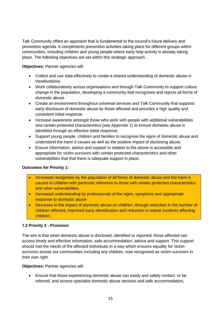Talk Community offers an approach that is fundamental to the council's future delivery and prevention agenda. It compliments prevention activities taking place for different groups within communities, including children and young people where early help activity is already taking place. The following objectives are set within this strategic approach.

**Objectives:** Partner agencies will:

- Collect and use data effectively to create a shared understanding of domestic abuse in Herefordshire.
- Work collaboratively across organisations and through Talk Community to support culture change in the population, developing a community that recognises and rejects all forms of domestic abuse.
- Create an environment throughout universal services and Talk Community that supports early disclosure of domestic abuse by those affected and provides a high quality and consistent initial response.
- Increase awareness amongst those who work with people with additional vulnerabilities and certain protected characteristics (see Appendix 1) to ensure domestic abuse is identified through an effective initial response.
- Support young people, children and families to recognise the signs of domestic abuse and understand the harm it causes as well as the positive impact of disclosing abuse.
- Ensure information, advice and support in relation to the above is accessible and appropriate for victim-survivors with certain protected characteristics and other vulnerabilities that that there is adequate support in place.

# **Outcomes for Priority 1:**

- Increased recognition by the population of all forms of domestic abuse and the harm it causes to children with particular reference to those with certain protected characteristics and other vulnerabilities.
- Increased understanding by professionals of the signs, symptoms and appropriate response to domestic abuse
- Decrease in the impact of domestic abuse on children, through reduction in the number of children affected, improved early identification and reduction in repeat incidents affecting children.

# **7.2 Priority 2 - Provision**

The aim is that when domestic abuse is disclosed, identified or reported, those affected can access timely and effective information, safe accommodation, advice and support. This support should met the needs of the affected individuals in a way which ensures equality for victimsurvivors across our communities including any children, now recognised as victim-survivors in their own right.

**Objectives: Partner agencies will:** 

 Ensure that those experiencing domestic abuse can easily and safely contact, or be referred, and access specialist domestic abuse services and safe accommodation,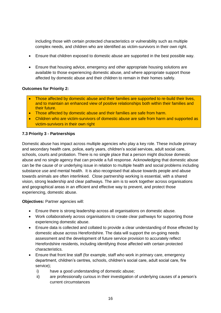including those with certain protected characteristics or vulnerability such as multiple complex needs, and children who are identified as victim-survivors in their own right.

- Ensure that children exposed to domestic abuse are supported in the best possible way.
- Ensure that housing advice, emergency and other appropriate housing solutions are available to those experiencing domestic abuse, and where appropriate support those affected by domestic abuse and their children to remain in their homes safely.

### **Outcomes for Priority 2:**

- Those affected by domestic abuse and their families are supported to re-build their lives, and to maintain an enhanced view of positive relationships both within their families and their future.
- Those affected by domestic abuse and their families are safe from harm.
- Children who are victim-survivors of domestic abuse are safe from harm and supported as victim-survivors in their own right

# **7.3 Priority 3 - Partnerships**

Domestic abuse has impact across multiple agencies who play a key role. These include primary and secondary health care, police, early years, children's social services, adult social care, schools, courts and probation. There is no single place that a person might disclose domestic abuse and no single agency that can provide a full response. Acknowledging that domestic abuse can be the cause of or underlying issue in relation to multiple health and social problems including substance use and mental health. It is also recognised that abuse towards people and abuse towards animals are often interlinked. Close partnership working is essential, with a shared vision, strong leadership and clear pathways. The aim is to work together across organisations and geographical areas in an efficient and effective way to prevent, and protect those experiencing, domestic abuse.

### **Objectives:** Partner agencies will:

- Ensure there is strong leadership across all organisations on domestic abuse.
- Work collaboratively across organisations to create clear pathways for supporting those experiencing domestic abuse.
- Ensure data is collected and collated to provide a clear understanding of those effected by domestic abuse across Herefordshire. The data will support the on-going needs assessment and the development of future service provision to accurately reflect Herefordshire residents, including identifying those affected with certain protected characteristics.
- Ensure that front line staff (for example, staff who work in primary care, emergency department, children's centres, schools, children's social care, adult social care, fire service);
	- i) have a good understanding of domestic abuse;
	- ii) are professionally curious in their investigation of underlying causes of a person's current circumstances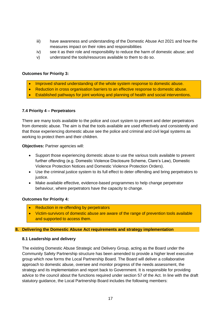- iii) have awareness and understanding of the Domestic Abuse Act 2021 and how the measures impact on their roles and responsibilities
- iv) see it as their role and responsibility to reduce the harm of domestic abuse; and
- v) understand the tools/resources available to them to do so.

### **Outcomes for Priority 3:**

- Improved shared understanding of the whole system response to domestic abuse.
- Reduction in cross organisation barriers to an effective response to domestic abuse.
- Established pathways for joint working and planning of health and social interventions.

### **7.4 Priority 4 – Perpetrators**

There are many tools available to the police and court system to prevent and deter perpetrators from domestic abuse. The aim is that the tools available are used effectively and consistently and that those experiencing domestic abuse see the police and criminal and civil legal systems as working to protect them and their children.

**Objectives:** Partner agencies will:

- Support those experiencing domestic abuse to use the various tools available to prevent further offending (e.g. Domestic Violence Disclosure Scheme, Clare's Law), Domestic Violence Protection Notices and Domestic Violence Protection Orders).
- Use the criminal justice system to its full effect to deter offending and bring perpetrators to justice.
- Make available effective, evidence-based programmes to help change perpetrator behaviour, where perpetrators have the capacity to change.

### **Outcomes for Priority 4:**

- Reduction in re-offending by perpetrators
- Victim-survivors of domestic abuse are aware of the range of prevention tools available and supported to access them.

#### **8. Delivering the Domestic Abuse Act requirements and strategy implementation**

#### **8.1 Leadership and delivery**

The existing Domestic Abuse Strategic and Delivery Group, acting as the Board under the Community Safety Partnership structure has been amended to provide a higher level executive group which now forms the Local Partnership Board. The Board will deliver a collaborative approach to domestic abuse, oversee and monitor progress of the needs assessment, the strategy and its implementation and report back to Government. It is responsible for providing advice to the council about the functions required under section 57 of the Act. In line with the draft statutory guidance, the Local Partnership Board includes the following members: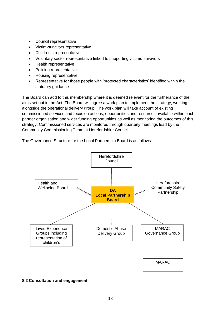- Council representative
- Victim-survivors representative
- Children's representative
- Voluntary sector representative linked to supporting victims-survivors
- Health representative
- Policing representative
- Housing representative
- Representative for those people with 'protected characteristics' identified within the statutory guidance

The Board can add to this membership where it is deemed relevant for the furtherance of the aims set out in the Act. The Board will agree a work plan to implement the strategy, working alongside the operational delivery group. The work plan will take account of existing commissioned services and focus on actions, opportunities and resources available within each partner organisation and wider funding opportunities as well as monitoring the outcomes of this strategy. Commissioned services are monitored through quarterly meetings lead by the Community Commissioning Team at Herefordshire Council.

The Governance Structure for the Local Partnership Board is as follows:



### **8.2 Consultation and engagement**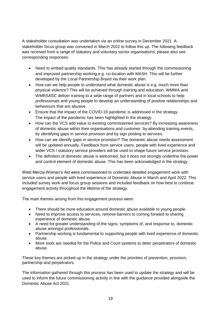A stakeholder consultation was undertaken via an online survey in December 2021. A stakeholder focus group was convened in March 2022 to follow this up. The following feedback was received from a range of statutory and voluntary sector organisations; please also see corresponding responses:

- Need to embed quality standards. This has already started through the commissioning and improved partnership working e.g. co-location with MASH. This will be further developed by the Local Partnership Board via their work plan.
- How can we help people to understand what domestic abuse is e.g. much more than physical violence? This will be achieved through training and education. WMWA and WMRSASC deliver training to a wide range of partners and in local schools to help professionals and young people to develop an understanding of positive relationships and behaviours that are abusive.
- Ensure that the impact of the COVID-19 pandemic is addressed in the strategy. The impact of the pandemic has been highlighted in the strategy.
- How can the VCS add value to existing commissioned services? By increasing awareness of domestic abuse within their organisations and customer, by attending training events, by identifying gaps in service provision and by sign posting to services.
- How can we identify gaps in service provision? The domestic abuse needs assessment will be updated annually. Feedback from service users, people with lived experience and wider VCS / statutory service providers will be used to shape future service provision.
- The definition of domestic abuse is welcomed, but it does not strongly underline the power and control element of domestic abuse. This has been acknowledged in the strategy.

West Mercia Women's Aid were commissioned to undertake detailed engagement work with service users and people with lived experience of Domestic Abuse in March and April 2022. This included survey work and focus group sessions and included feedback on how best to continue engagement activity throughout the lifetime of the strategy.

The main themes arising from this engagement process were:

- There should be more education around domestic abuse available to young people.
- Need to improve access to services, remove barriers to coming forward to sharing experience of domestic abuse,
- A need for greater understanding of the signs, symptoms of, and response to, domestic abuse amongst professionals.
- Partnership working is fundamental to supporting people with lived experience of domestic abuse.
- More tools are needed for the Police and Court systems to deter perpetrators of domestic abuse.

These key themes are picked up in the strategy under the priorities of prevention, provision, partnership and perpetrators.

The information gathered through this process has been used to update the strategy and will be used to inform the future commissioning activity in line with the guidance provided alongside the Domestic Abuse Act 2021.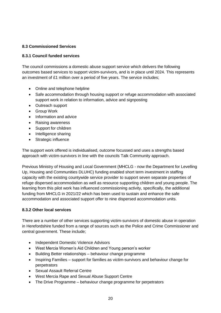# **8.3 Commissioned Services**

# **8.3.1 Council funded services**

The council commissions a domestic abuse support service which delivers the following outcomes based services to support victim-survivors, and is in place until 2024. This represents an investment of £1 million over a period of five years. The service includes;

- Online and telephone helpline
- Safe accommodation through housing support or refuge accommodation with associated support work in relation to information, advice and signposting
- Outreach support
- Group Work
- Information and advice
- Raising awareness
- Support for children
- Intelligence sharing
- Strategic influence

The support work offered is individualised, outcome focussed and uses a strengths based approach with victim-survivors in line with the councils Talk Community approach.

Previous Ministry of Housing and Local Government (MHCLG - now the Department for Levelling Up, Housing and Communities DLUHC) funding enabled short term investment in staffing capacity with the existing countywide service provider to support seven separate properties of refuge dispersed accommodation as well as resource supporting children and young people. The learning from this pilot work has influenced commissioning activity, specifically, the additional funding from MHCLG in 2021/22 which has been used to sustain and enhance the safe accommodation and associated support offer to nine dispersed accommodation units.

# **8.3.2 Other local services**

There are a number of other services supporting victim-survivors of domestic abuse in operation in Herefordshire funded from a range of sources such as the Police and Crime Commissioner and central government. These include;

- Independent Domestic Violence Advisors
- West Mercia Women's Aid Children and Young person's worker
- Building Better relationships behaviour change programme
- Inspiring Families support for families as victim-survivors and behaviour change for perpetrators
- Sexual Assault Referral Centre
- West Mercia Rape and Sexual Abuse Support Centre
- The Drive Programme behaviour change programme for perpetrators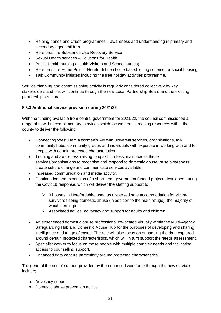- Helping hands and Crush programmes awareness and understanding in primary and secondary aged children
- **Herefordshire Substance Use Recovery Service**
- Sexual Health services Solutions for Health
- Public Health nursing (Health Visitors and School nurses)
- Herefordshire Home Point Herefordshire choice based letting scheme for social housing.
- Talk Community initiates including the free holiday activities programme.

Service planning and commissioning activity is regularly considered collectively by key stakeholders and this will continue through the new Local Partnership Board and the existing partnership structure.

# **8.3.3 Additional service provision during 2021/22**

With the funding available from central government for 2021/22, the council commissioned a range of new, but complimentary, services which focused on increasing resources within the county to deliver the following:

- Connecting West Mercia Women's Aid with universal services, organisations, talk community hubs, community groups and individuals with expertise in working with and for people with certain protected characteristics.
- Training and awareness raising to upskill professionals across these services/organisations to recognise and respond to domestic abuse, raise awareness, create culture change and communicate services available.
- Increased communication and media activity.
- Continuation and expansion of a short term government funded project, developed during the Covid19 response, which will deliver the staffing support to:
	- $\triangleright$  9 houses in Herefordshire used as dispersed safe accommodation for victimsurvivors fleeing domestic abuse (in addition to the main refuge), the majority of which permit pets.
	- $\triangleright$  Associated advice, advocacy and support for adults and children
- An experienced domestic abuse professional co-located virtually within the Multi-Agency Safeguarding Hub and Domestic Abuse Hub for the purposes of developing and sharing intelligence and triage of cases. The role will also focus on enhancing the data captured around certain protected characteristics, which will in turn support the needs assessment.
- Specialist worker to focus on those people with multiple complex needs and facilitating access to counselling support.
- Enhanced data capture particularly around protected characteristics.

The general themes of support provided by the enhanced workforce through the new services include;

- a. Advocacy support
- b. Domestic abuse prevention advice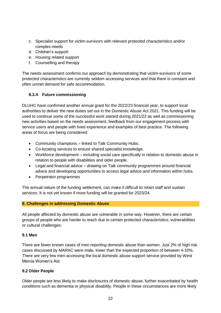- c. Specialist support for victim-survivors with relevant protected characteristics and/or complex needs
- d. Children's support
- e. Housing related support
- f. Counselling and therapy

The needs assessment confirms our approach by demonstrating that victim-survivors of some protected characteristics are currently seldom accessing services and that there is constant and often unmet demand for safe accommodation.

### **8.3.4 Future commissioning**

DLUHC have confirmed another annual grant for the 2022/23 financial year, to support local authorities to deliver the new duties set out in the Domestic Abuse Act 2021. This funding will be used to continue some of the successful work started during 2021/22 as well as commissioning new activities based on the needs assessment, feedback from our engagement process with service users and people with lived experience and examples of best practice. The following areas of focus are being considered:

- Community champions linked to Talk Community Hubs.
- Co-locating services to ensure shared specialist knowledge.
- Workforce development including social care specifically in relation to domestic abuse in relation to people with disabilities and older people.
- Legal and financial advice drawing on Talk community programmes around financial advice and developing opportunities to access legal advice and information within hubs.
- Perpetrator programmes

The annual nature of the funding settlement, can make it difficult to retain staff and sustain services. It is not yet known if more funding will be granted for 2023/24.

### **9. Challenges in addressing Domestic Abuse**

All people affected by domestic abuse are vulnerable in some way. However, there are certain groups of people who are harder to reach due to certain protected characteristics, vulnerabilities or cultural challenges:

### **9.1 Men**

There are fewer known cases of men reporting domestic abuse than women. Just 2% of high risk cases discussed by MARAC were male, lower than the expected proportion of between 4-10%. There are very few men accessing the local domestic abuse support service provided by West Mercia Women's Aid.

### **9.2 Older People**

Older people are less likely to make disclosures of domestic abuse, further exacerbated by health conditions such as dementia or physical disability. People in these circumstances are more likely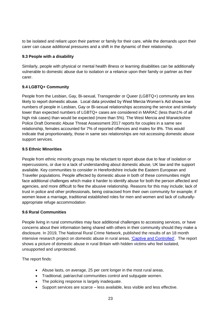to be isolated and reliant upon their partner or family for their care, while the demands upon their carer can cause additional pressures and a shift in the dynamic of their relationship.

# **9.3 People with a disability**

Similarly, people with physical or mental health illness or learning disabilities can be additionally vulnerable to domestic abuse due to isolation or a reliance upon their family or partner as their carer.

# **9.4 LGBTQ+ Community**

People from the Lesbian, Gay, Bi-sexual, Transgender or Queer (LGBTQ+) community are less likely to report domestic abuse. Local data provided by West Mercia Women's Aid shows low numbers of people in Lesbian, Gay or Bi-sexual relationships accessing the service and similarly lower than expected numbers of LGBTQ+ cases are considered in MARAC (less than1% of all high risk cases) than would be expected (more than 5%). The West Mercia and Warwickshire Police Draft Domestic Abuse Threat Assessment 2017 reports for couples in a same sex relationship, females accounted for 7% of reported offences and males for 8%. This would indicate that proportionately, those in same sex relationships are not accessing domestic abuse support services.

# **9.5 Ethnic Minorities**

People from ethnic minority groups may be reluctant to report abuse due to fear of isolation or repercussions, or due to a lack of understanding about domestic abuse, UK law and the support available. Key communities to consider in Herefordshire include the Eastern European and Traveller populations. People affected by domestic abuse in both of these communities might face additional challenges which make it harder to identify abuse for both the person affected and agencies, and more difficult to flee the abusive relationship. Reasons for this may include; lack of trust in police and other professionals, being ostracised from their own community for example; if women leave a marriage, traditional established roles for men and women and lack of culturallyappropriate refuge accommodation

# **9.6 Rural Communities**

People living in rural communities may face additional challenges to accessing services, or have concerns about their information being shared with others in their community should they make a disclosure. In 2019, The National Rural Crime Network, published the results of an 18 month intensive research project on domestic abuse in rural areas, ['Captive and Controlled'.](https://www.ruralabuse.co.uk/wp-content/uploads/2019/07/Domestic-Abuse-in-Rural-Areas-National-Rural-Crime-Network.pdf;) The report shows a picture of domestic abuse in rural Britain with hidden victims who feel isolated, unsupported and unprotected.

The report finds:

- Abuse lasts, on average, 25 per cent longer in the most rural areas.
- Traditional, patriarchal communities control and subjugate women.
- The policing response is largely inadequate.
- Support services are scarce less available, less visible and less effective.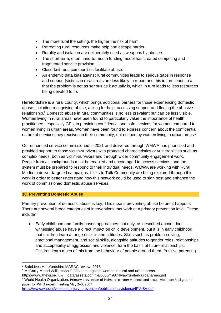- The more rural the setting, the higher the risk of harm.
- Retreating rural resources make help and escape harder.
- Rurality and isolation are deliberately used as weapons by abusers.
- The short-term, often hand-to-mouth funding model has created competing and fragmented service provision.
- Close-knit rural communities facilitate abuse.
- An endemic data bias against rural communities leads to serious gaps in response and support (victims in rural areas are less likely to report and this in turn leads to a that the problem is not as serious as it actually is, which in turn leads to less resources being devoted to it).

Herefordshire is a rural county, which brings additional barriers for those experiencing domestic abuse, including recognising abuse, asking for help, accessing support and fleeing the abusive relationship.<sup>2</sup> Domestic abuse in rural communities is no less prevalent but can be less visible. Women living in rural areas have been found to particularly value the importance of health practitioners, especially GPs, in providing confidential and safe services for women compared to women living in urban areas. Women have been found to express concern about the confidential nature of services they received in their community, not echoed by women living in urban areas.<sup>3</sup>

Our enhanced service commissioned in 2021 and delivered through WMWA has prioritised and provided support to those victim-survivors with protected characteristics or vulnerabilities such as complex needs, both as victim-survivors and through wider community engagement work. People from all backgrounds must be enabled and encouraged to access services, and the system must be prepared to respond to their individual needs. WMWA are working with Rural Media to deliver targeted campaigns. Links to Talk Community are being explored through this work in order to better understand how this network could be used to sign post and enhance the work of commissioned domestic abuse services.

# **10. Preventing Domestic Abuse**

Primary prevention of domestic abuse is key. This means preventing abuse before it happens. There are several broad categories of interventions that work at a primary prevention level. These include<sup>4</sup>:

 Early childhood and family-based approaches: not only, as described above, does witnessing abuse have a direct impact on child development, but it is in early childhood that children learn a range of skills and attitudes. Skills such as problem-solving, emotional management, and social skills, alongside attitudes to gender roles, relationships and acceptability of aggression and violence, form the basis of future relationships. Children learn much of this from the behaviour of people around them. Positive parenting

 <sup>2</sup> SafeLives Herefordshire MARAC review, 2018

<sup>3</sup> McCarry M and Williamson E. Violence against women in rural and urban areas.

https://www.thewi.org.uk/\_\_data/assets/pdf\_file/0005/49874/vawruralandurbanareas.pdf

<sup>4</sup> World Health Organization. Primary prevention of intimate-partner violence and sexual violence: Background paper for WHO expert meeting May 2–3, 2007

https[://www.who.int/violence\\_injury\\_prevention/publications/violence/IPV-SV.pdf](https://www.who.int/violence_injury_prevention/publications/violence/IPV-SV.pdf)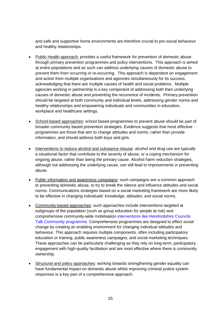and safe and supportive home environments are therefore crucial to pro-social behaviour and healthy relationships.

- Public Health approach; provides a useful framework for prevention of domestic abuse through primary prevention programmes and policy interventions. This approach is aimed at entire populations and as such can address underlying causes of domestic abuse to prevent them from occurring or re-occurring. This approach is dependent on engagement and action from multiple organisations and agencies simultaneously for its success, acknowledging that there are multiple causes of health and social problems. Multiple agencies working in partnership is a key component of addressing both then underlying causes of domestic abuse and preventing the recurrence of incidents. Primary prevention should be targeted at both community and individual levels, addressing gender norms and healthy relationships and empowering individuals and communities in education, workplace and healthcare settings.
- School-based approaches: school based programmes to prevent abuse should be part of broader community based prevention strategies. Evidence suggests that most effective programmes are those that aim to change attitudes and norms, rather than provide information, and should address both boys and girls.
- Interventions to reduce alcohol and substance misuse: alcohol and drug use are typically a situational factor that contribute to the severity of abuse, or a coping mechanism for ongoing abuse, rather than being the primary cause. Alcohol harm reduction strategies, although not addressing the underlying cause, can still lead to improvements in preventing abuse.
- Public information and awareness campaigns: such campaigns are a common approach to preventing domestic abuse, to try to break the silence and influence attitudes and social norms. Communications strategies based on a social marketing framework are more likely to be effective in changing individuals' knowledge, attitudes, and social norms.
- Community-based approaches: such approaches include interventions targeted at subgroups of the population (such as group education for people at risk) and comprehensive community-wide mobilisation interventions like Herefordshire Councils Talk Community programme. Comprehensive programmes are designed to effect social change by creating an enabling environment for changing individual attitudes and behaviour. This approach requires multiple components, often including participatory education or training, public awareness campaigns, and social marketing techniques. These approaches can be particularly challenging as they rely on long-term, participatory engagement with high-quality facilitation and are most effective where there is community ownership.
- Structural and policy approaches: working towards strengthening gender equality can have fundamental impact on domestic abuse whilst improving criminal justice system responses is a key part of a comprehensive approach.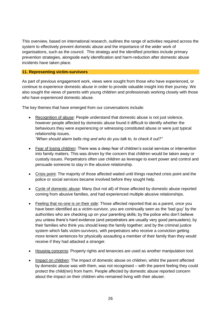This overview, based on international research, outlines the range of activities required across the system to effectively prevent domestic abuse and the importance of the wider work of organisations, such as the council. This strategy and the identified priorities include primary prevention strategies, alongside early identification and harm-reduction after domestic abuse incidents have taken place.

### **11. Representing victim-survivors**

As part of previous engagement work, views were sought from those who have experienced, or continue to experience domestic abuse in order to provide valuable insight into their journey. We also sought the views of parents with young children and professionals working closely with those who have experienced domestic abuse.

The key themes that have emerged from our conversations include:

- Recognition of abuse: People understand that domestic abuse is not just violence, however people affected by domestic abuse found it difficult to identify whether the behaviours they were experiencing or witnessing constituted abuse or were just typical relationship issues. *"When should alarm bells ring and who do you talk to, to check it out?"*
- Fear of losing children: There was a deep fear of children's social services or intervention into family matters. This was driven by the concern that children would be taken away or custody issues. Perpetrators often use children as leverage to exert power and control and persuade someone to stay in the abusive relationship.
- Crisis point: The majority of those affected waited until things reached crisis point and the police or social services became involved before they sought help.
- Cycle of domestic abuse: Many (but not all) of those affected by domestic abuse reported coming from abusive families, and had experienced multiple abusive relationships.
- Feeling that no-one is on their side: Those affected reported that as a parent, once you have been identified as a victim-survivor, you are continually seen as the 'bad guy' by the authorities who are checking up on your parenting skills; by the police who don't believe you unless there's hard evidence (and perpetrators are usually very good persuaders); by their families who think you should keep the family together; and by the criminal justice system which fails victim-survivors, with perpetrators who receive a conviction getting more lenient sentences for physically assaulting a member of their family than they would receive if they had attacked a stranger.
- Housing concerns: Property rights and tenancies are used as another manipulation tool.
- Impact on children: The impact of domestic abuse on children, whilst the parent affected by domestic abuse was with them, was not recognised – with the parent feeling they could protect the child(ren) from harm. People affected by domestic abuse reported concern about the impact on their children who remained living with their abuser.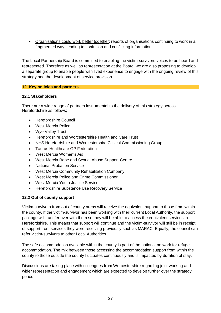• Organisations could work better together: reports of organisations continuing to work in a fragmented way, leading to confusion and conflicting information.

The Local Partnership Board is committed to enabling the victim-survivors voices to be heard and represented. Therefore as well as representation at the Board, we are also proposing to develop a separate group to enable people with lived experience to engage with the ongoing review of this strategy and the development of service provision.

# **12. Key policies and partners**

### **12.1 Stakeholders**

There are a wide range of partners instrumental to the delivery of this strategy across Herefordshire as follows;

- Herefordshire Council
- West Mercia Police
- Wye Valley Trust
- Herefordshire and Worcestershire Health and Care Trust
- NHS Herefordshire and Worcestershire Clinical Commissioning Group
- Taurus Healthcare GP Federation
- West Mercia Women's Aid
- West Mercia Rape and Sexual Abuse Support Centre
- National Probation Service
- West Mercia Community Rehabilitation Company
- West Mercia Police and Crime Commissioner
- West Mercia Youth Justice Service
- Herefordshire Substance Use Recovery Service

### **12.2 Out of county support**

Victim-survivors from out of county areas will receive the equivalent support to those from within the county. If the victim-survivor has been working with their current Local Authority, the support package will transfer over with them so they will be able to access the equivalent services in Herefordshire. This means that support will continue and the victim-survivor will still be in receipt of support from services they were receiving previously such as MARAC. Equally, the council can refer victim-survivors to other Local Authorities.

The safe accommodation available within the county is part of the national network for refuge accommodation. The mix between those accessing the accommodation support from within the county to those outside the county fluctuates continuously and is impacted by duration of stay.

Discussions are taking place with colleagues from Worcestershire regarding joint working and wider representation and engagement which are expected to develop further over the strategy period.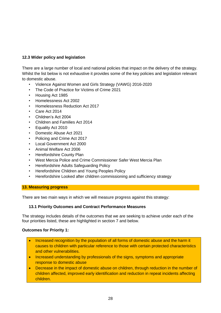# **12.3 Wider policy and legislation**

There are a large number of local and national policies that impact on the delivery of the strategy. Whilst the list below is not exhaustive it provides some of the key policies and legislation relevant to domestic abuse.

- Violence Against Women and Girls Strategy (VAWG) 2016-2020
- The Code of Practice for Victims of Crime 2021
- Housing Act 1985
- Homelessness Act 2002
- Homelessness Reduction Act 2017
- Care Act 2014
- Children's Act 2004
- Children and Families Act 2014
- Equality Act 2010
- Domestic Abuse Act 2021
- Policing and Crime Act 2017
- Local Government Act 2000
- Animal Welfare Act 2006
- Herefordshire County Plan
- West Mercia Police and Crime Commissioner Safer West Mercia Plan
- Herefordshire Adults Safeguarding Policy
- Herefordshire Children and Young Peoples Policy
- Herefordshire Looked after children commissioning and sufficiency strategy

### **13. Measuring progress**

There are two main ways in which we will measure progress against this strategy:

# **13.1 Priority Outcomes and Contract Performance Measures**

The strategy includes details of the outcomes that we are seeking to achieve under each of the four priorities listed, these are highlighted in section 7 and below.

# **Outcomes for Priority 1:**

- Increased recognition by the population of all forms of domestic abuse and the harm it causes to children with particular reference to those with certain protected characteristics and other vulnerabilities.
- Increased understanding by professionals of the signs, symptoms and appropriate response to domestic abuse
- Decrease in the impact of domestic abuse on children, through reduction in the number of children affected, improved early identification and reduction in repeat incidents affecting children.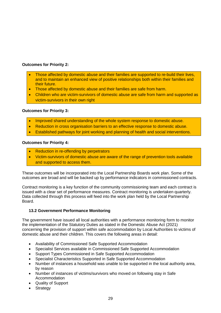# **Outcomes for Priority 2:**

- Those affected by domestic abuse and their families are supported to re-build their lives, and to maintain an enhanced view of positive relationships both within their families and their future.
- Those affected by domestic abuse and their families are safe from harm.
- Children who are victim-survivors of domestic abuse are safe from harm and supported as victim-survivors in their own right

### **Outcomes for Priority 3:**

- Improved shared understanding of the whole system response to domestic abuse.
- Reduction in cross organisation barriers to an effective response to domestic abuse.
- Established pathways for joint working and planning of health and social interventions.

### **Outcomes for Priority 4:**

- Reduction in re-offending by perpetrators
- Victim-survivors of domestic abuse are aware of the range of prevention tools available and supported to access them.

These outcomes will be incorporated into the Local Partnership Boards work plan. Some of the outcomes are broad and will be backed up by performance indicators in commissioned contracts.

Contract monitoring is a key function of the community commissioning team and each contract is issued with a clear set of performance measures. Contract monitoring is undertaken quarterly. Data collected through this process will feed into the work plan held by the Local Partnership Board.

# **13.2 Government Performance Monitoring**

The government have issued all local authorities with a performance monitoring form to monitor the implementation of the Statutory Duties as stated in the Domestic Abuse Act (2021) concerning the provision of support within safe accommodation by Local Authorities to victims of domestic abuse and their children. This covers the following areas in detail:

- Availability of Commissioned Safe Supported Accommodation
- Specialist Services available in Commissioned Safe Supported Accommodation
- Support Types Commissioned in Safe Supported Accommodation
- Specialist Characteristics Supported in Safe Supported Accommodation
- Number of instances a household was unable to be supported in the local authority area, by reason
- Number of instances of victims/survivors who moved on following stay in Safe Accommodation
- Quality of Support
- **Strategy**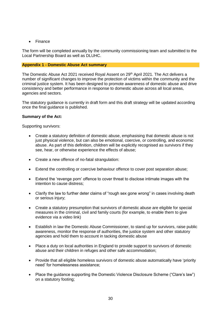• Finance

The form will be completed annually by the community commissioning team and submitted to the Local Partnership Board as well as DLUHC.

### **Appendix 1 - Domestic Abuse Act summary**

The Domestic Abuse Act 2021 received Royal Assent on 29<sup>th</sup> April 2021. The Act delivers a number of significant changes to improve the protection of victims within the community and the criminal justice system. It has been designed to promote awareness of domestic abuse and drive consistency and better performance in response to domestic abuse across all local areas, agencies and sectors.

The statutory guidance is currently in draft form and this draft strategy will be updated according once the final guidance is published.

### **Summary of the Act:**

Supporting survivors:

- Create a statutory definition of domestic abuse, emphasising that domestic abuse is not just physical violence, but can also be emotional, coercive, or controlling, and economic abuse. As part of this definition, children will be explicitly recognised as survivors if they see, hear, or otherwise experience the effects of abuse;
- Create a new offence of no-fatal strangulation:
- Extend the controlling or coercive behaviour offence to cover post separation abuse;
- Extend the 'revenge porn' offence to cover threat to disclose intimate images with the intention to cause distress;
- Clarify the law to further deter claims of "rough sex gone wrong" in cases involving death or serious injury;
- Create a statutory presumption that survivors of domestic abuse are eligible for special measures in the criminal, civil and family courts (for example, to enable them to give evidence via a video link)
- Establish in law the Domestic Abuse Commissioner, to stand up for survivors, raise public awareness, monitor the response of authorities, the justice system and other statutory agencies and hold them to account in tacking domestic abuse
- Place a duty on local authorities in England to provide support to survivors of domestic abuse and their children in refuges and other safe accommodation;
- Provide that all eligible homeless survivors of domestic abuse automatically have 'priority need' for homelessness assistance;
- Place the guidance supporting the Domestic Violence Disclosure Scheme ("Clare's law") on a statutory footing;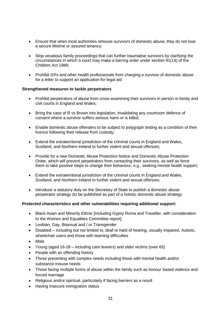- Ensure that when local authorities rehouse survivors of domestic abuse, they do not lose a secure lifetime or assured tenancy;
- Stop vexatious family proceedings that can further traumatise survivors by clarifying the circumstances in which a court may make a barring order under section 91(14) of the Children Act 1989;
- Prohibit GPs and other health professionals from charging a survivor of domestic abuse for a letter to support an application for legal aid

### **Strengthened measures to tackle perpetrators**

- Prohibit perpetrators of abuse from cross-examining their survivors in person in family and civil courts in England and Wales;
- Bring the case of R vs Brown into legislation, invalidating any courtroom defence of consent where a survivor suffers serious harm or is killed;
- Enable domestic abuse offenders to be subject to polygraph testing as a condition of their licence following their release from custody;
- Extend the extraterritorial jurisdiction of the criminal courts in England and Wales, Scotland, and Northern Ireland to further violent and sexual offences;
- Provide for a new Domestic Abuse Protection Notice and Domestic Abuse Protection Order, which will prevent perpetrators from contacting their survivors, as well as force them to take positive steps to change their behaviour, e.g., seeking mental health support;
- Extend the extraterritorial jurisdiction of the criminal courts in England and Wales, Scotland, and Northern Ireland to further violent and sexual offences;
- Introduce a statutory duty on the Secretary of State to publish a domestic abuse perpetrator strategy (to be published as part of a holistic domestic abuse strategy

### **Protected characteristics and other vulnerabilities requiring additional support:**

- Black Asian and Minority Ethnic [Including Gypsy Roma and Traveller, with consideration to the Women and Equalities Committee report]
- Lesbian, Gay, Bisexual and / or Transgender
- Disabled including but not limited to, deaf or hard of hearing, visually impaired, Autistic, wheelchair users and those with learning difficulties
- Male
- Young (aged 16-18 including care leavers) and older victims (over 65)
- People with an offending history
- Those presenting with complex needs including those with mental health and/or substance misuse needs
- Those facing multiple forms of abuse within the family such as honour based violence and forced marriage
- Religious and/or spiritual, particularly if facing barriers as a result
- Having insecure immigration status